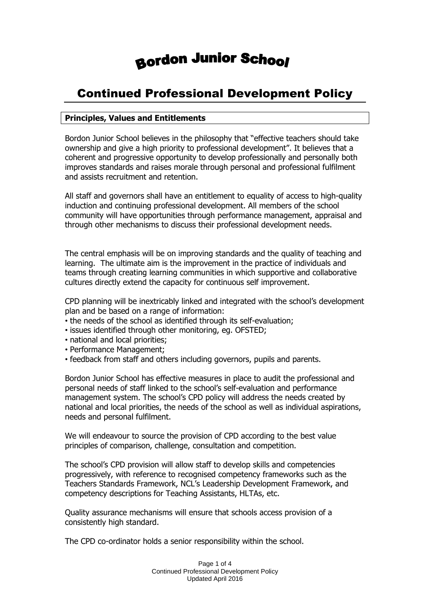# **Bordon Junior School**

## Continued Professional Development Policy

### **Principles, Values and Entitlements**

Bordon Junior School believes in the philosophy that "effective teachers should take ownership and give a high priority to professional development". It believes that a coherent and progressive opportunity to develop professionally and personally both improves standards and raises morale through personal and professional fulfilment and assists recruitment and retention.

All staff and governors shall have an entitlement to equality of access to high-quality induction and continuing professional development. All members of the school community will have opportunities through performance management, appraisal and through other mechanisms to discuss their professional development needs.

The central emphasis will be on improving standards and the quality of teaching and learning. The ultimate aim is the improvement in the practice of individuals and teams through creating learning communities in which supportive and collaborative cultures directly extend the capacity for continuous self improvement.

CPD planning will be inextricably linked and integrated with the school's development plan and be based on a range of information:

- the needs of the school as identified through its self-evaluation;
- issues identified through other monitoring, eg. OFSTED;
- national and local priorities;
- Performance Management;
- feedback from staff and others including governors, pupils and parents.

Bordon Junior School has effective measures in place to audit the professional and personal needs of staff linked to the school's self-evaluation and performance management system. The school's CPD policy will address the needs created by national and local priorities, the needs of the school as well as individual aspirations, needs and personal fulfilment.

We will endeavour to source the provision of CPD according to the best value principles of comparison, challenge, consultation and competition.

The school's CPD provision will allow staff to develop skills and competencies progressively, with reference to recognised competency frameworks such as the Teachers Standards Framework, NCL's Leadership Development Framework, and competency descriptions for Teaching Assistants, HLTAs, etc.

Quality assurance mechanisms will ensure that schools access provision of a consistently high standard.

The CPD co-ordinator holds a senior responsibility within the school.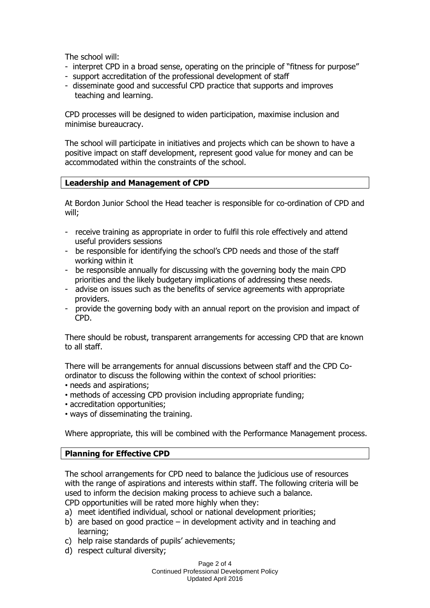The school will:

- interpret CPD in a broad sense, operating on the principle of "fitness for purpose"
- support accreditation of the professional development of staff
- disseminate good and successful CPD practice that supports and improves teaching and learning.

CPD processes will be designed to widen participation, maximise inclusion and minimise bureaucracy.

The school will participate in initiatives and projects which can be shown to have a positive impact on staff development, represent good value for money and can be accommodated within the constraints of the school.

#### **Leadership and Management of CPD**

At Bordon Junior School the Head teacher is responsible for co-ordination of CPD and will;

- receive training as appropriate in order to fulfil this role effectively and attend useful providers sessions
- be responsible for identifying the school's CPD needs and those of the staff working within it
- be responsible annually for discussing with the governing body the main CPD priorities and the likely budgetary implications of addressing these needs.
- advise on issues such as the benefits of service agreements with appropriate providers.
- provide the governing body with an annual report on the provision and impact of CPD.

There should be robust, transparent arrangements for accessing CPD that are known to all staff.

There will be arrangements for annual discussions between staff and the CPD Coordinator to discuss the following within the context of school priorities:

- needs and aspirations;
- methods of accessing CPD provision including appropriate funding;
- accreditation opportunities;
- ways of disseminating the training.

Where appropriate, this will be combined with the Performance Management process.

### **Planning for Effective CPD**

The school arrangements for CPD need to balance the judicious use of resources with the range of aspirations and interests within staff. The following criteria will be used to inform the decision making process to achieve such a balance. CPD opportunities will be rated more highly when they:

- a) meet identified individual, school or national development priorities;
- b) are based on good practice in development activity and in teaching and learning;
- c) help raise standards of pupils' achievements;
- d) respect cultural diversity;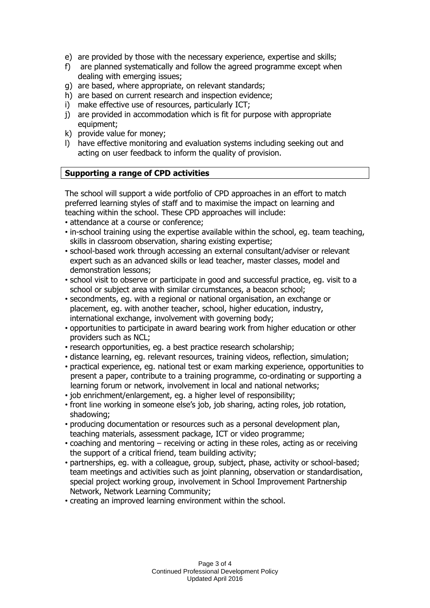- e) are provided by those with the necessary experience, expertise and skills;
- f) are planned systematically and follow the agreed programme except when dealing with emerging issues;
- g) are based, where appropriate, on relevant standards;
- h) are based on current research and inspection evidence;
- i) make effective use of resources, particularly ICT;
- j) are provided in accommodation which is fit for purpose with appropriate equipment;
- k) provide value for money;
- l) have effective monitoring and evaluation systems including seeking out and acting on user feedback to inform the quality of provision.

#### **Supporting a range of CPD activities**

The school will support a wide portfolio of CPD approaches in an effort to match preferred learning styles of staff and to maximise the impact on learning and teaching within the school. These CPD approaches will include:

- attendance at a course or conference;
- in-school training using the expertise available within the school, eg. team teaching, skills in classroom observation, sharing existing expertise;
- school-based work through accessing an external consultant/adviser or relevant expert such as an advanced skills or lead teacher, master classes, model and demonstration lessons;
- school visit to observe or participate in good and successful practice, eg. visit to a school or subject area with similar circumstances, a beacon school;
- secondments, eg. with a regional or national organisation, an exchange or placement, eg. with another teacher, school, higher education, industry, international exchange, involvement with governing body;
- opportunities to participate in award bearing work from higher education or other providers such as NCL;
- research opportunities, eg. a best practice research scholarship;
- distance learning, eg. relevant resources, training videos, reflection, simulation;
- practical experience, eg. national test or exam marking experience, opportunities to present a paper, contribute to a training programme, co-ordinating or supporting a learning forum or network, involvement in local and national networks;
- job enrichment/enlargement, eg. a higher level of responsibility;
- front line working in someone else's job, job sharing, acting roles, job rotation, shadowing;
- producing documentation or resources such as a personal development plan, teaching materials, assessment package, ICT or video programme;
- coaching and mentoring receiving or acting in these roles, acting as or receiving the support of a critical friend, team building activity;
- partnerships, eg. with a colleague, group, subject, phase, activity or school-based; team meetings and activities such as joint planning, observation or standardisation, special project working group, involvement in School Improvement Partnership Network, Network Learning Community;
- creating an improved learning environment within the school.